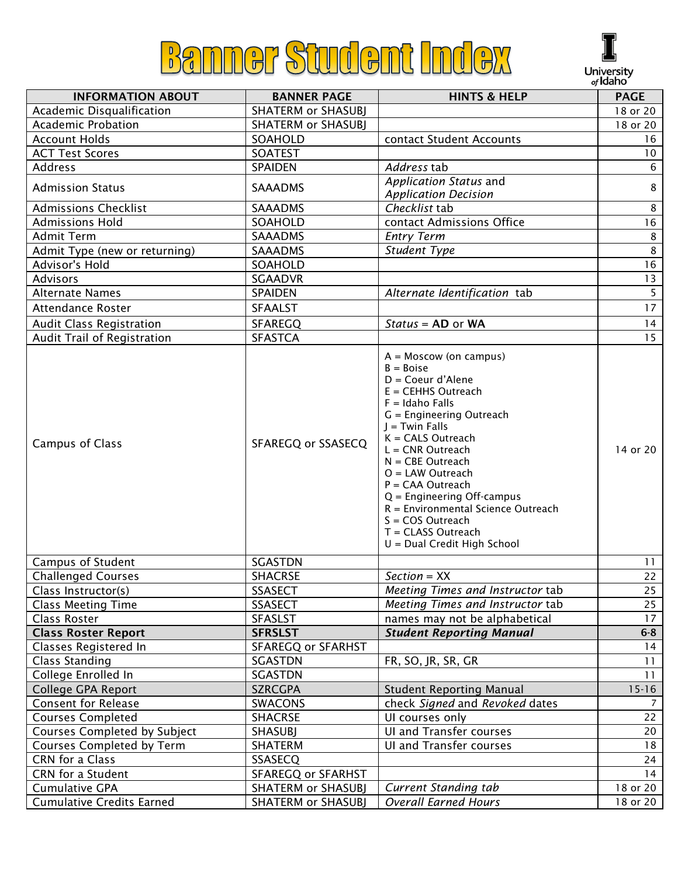



|                                  |                           |                                                                                                                                                                                                                                                                                                                                                                                                                                      | v, igailg       |
|----------------------------------|---------------------------|--------------------------------------------------------------------------------------------------------------------------------------------------------------------------------------------------------------------------------------------------------------------------------------------------------------------------------------------------------------------------------------------------------------------------------------|-----------------|
| <b>INFORMATION ABOUT</b>         | <b>BANNER PAGE</b>        | <b>HINTS &amp; HELP</b>                                                                                                                                                                                                                                                                                                                                                                                                              | <b>PAGE</b>     |
| Academic Disqualification        | <b>SHATERM or SHASUBJ</b> |                                                                                                                                                                                                                                                                                                                                                                                                                                      | 18 or 20        |
| Academic Probation               | <b>SHATERM or SHASUBI</b> |                                                                                                                                                                                                                                                                                                                                                                                                                                      | 18 or 20        |
| <b>Account Holds</b>             | SOAHOLD                   | contact Student Accounts                                                                                                                                                                                                                                                                                                                                                                                                             | 16              |
| <b>ACT Test Scores</b>           | <b>SOATEST</b>            |                                                                                                                                                                                                                                                                                                                                                                                                                                      | 10 <sub>o</sub> |
| Address                          | <b>SPAIDEN</b>            | Address tab                                                                                                                                                                                                                                                                                                                                                                                                                          | 6               |
| <b>Admission Status</b>          | <b>SAAADMS</b>            | Application Status and<br><b>Application Decision</b>                                                                                                                                                                                                                                                                                                                                                                                | 8               |
| <b>Admissions Checklist</b>      | <b>SAAADMS</b>            | Checklist tab                                                                                                                                                                                                                                                                                                                                                                                                                        | 8               |
| <b>Admissions Hold</b>           | SOAHOLD                   | contact Admissions Office                                                                                                                                                                                                                                                                                                                                                                                                            | 16              |
| <b>Admit Term</b>                | <b>SAAADMS</b>            | <b>Entry Term</b>                                                                                                                                                                                                                                                                                                                                                                                                                    | 8               |
| Admit Type (new or returning)    | <b>SAAADMS</b>            | Student Type                                                                                                                                                                                                                                                                                                                                                                                                                         | $\,8\,$         |
| Advisor's Hold                   | SOAHOLD                   |                                                                                                                                                                                                                                                                                                                                                                                                                                      | 16              |
| Advisors                         | <b>SGAADVR</b>            |                                                                                                                                                                                                                                                                                                                                                                                                                                      | 13              |
| <b>Alternate Names</b>           | <b>SPAIDEN</b>            | Alternate Identification tab                                                                                                                                                                                                                                                                                                                                                                                                         | 5 <sup>1</sup>  |
| Attendance Roster                | <b>SFAALST</b>            |                                                                                                                                                                                                                                                                                                                                                                                                                                      | 17              |
| <b>Audit Class Registration</b>  | <b>SFAREGQ</b>            | $Status = AD$ or WA                                                                                                                                                                                                                                                                                                                                                                                                                  | 14              |
| Audit Trail of Registration      | <b>SFASTCA</b>            |                                                                                                                                                                                                                                                                                                                                                                                                                                      | 15              |
| Campus of Class                  | SFAREGQ or SSASECQ        | $A =$ Moscow (on campus)<br>$B = Boise$<br>$D = Coeur d'Alene$<br>$E = \text{CEHHS}$ Outreach<br>$F =$ Idaho Falls<br>G = Engineering Outreach<br>$J =$ Twin Falls<br>$K = CALS$ Outreach<br>$L = CNR$ Outreach<br>$N = CBE$ Outreach<br>$O = LAW$ Outreach<br>$P = CAA$ Outreach<br>$Q =$ Engineering Off-campus<br>R = Environmental Science Outreach<br>$S = COS$ Outreach<br>$T = CLASS$ Outreach<br>U = Dual Credit High School | 14 or 20        |
| <b>Campus of Student</b>         | <b>SGASTDN</b>            |                                                                                                                                                                                                                                                                                                                                                                                                                                      | 11              |
| <b>Challenged Courses</b>        | <b>SHACRSE</b>            | $Section = XX$                                                                                                                                                                                                                                                                                                                                                                                                                       | 22              |
| Class Instructor(s)              | <b>SSASECT</b>            | Meeting Times and Instructor tab                                                                                                                                                                                                                                                                                                                                                                                                     | 25              |
| <b>Class Meeting Time</b>        | <b>SSASECT</b>            | Meeting Times and Instructor tab                                                                                                                                                                                                                                                                                                                                                                                                     | 25              |
| <b>Class Roster</b>              | SFASLST                   | names may not be alphabetical                                                                                                                                                                                                                                                                                                                                                                                                        | 17              |
| <b>Class Roster Report</b>       | <b>SFRSLST</b>            | <b>Student Reporting Manual</b>                                                                                                                                                                                                                                                                                                                                                                                                      | $6 - 8$         |
| Classes Registered In            | SFAREGQ or SFARHST        |                                                                                                                                                                                                                                                                                                                                                                                                                                      | 14              |
| <b>Class Standing</b>            | <b>SGASTDN</b>            | FR, SO, JR, SR, GR                                                                                                                                                                                                                                                                                                                                                                                                                   | 11              |
| College Enrolled In              | <b>SGASTDN</b>            |                                                                                                                                                                                                                                                                                                                                                                                                                                      | 11              |
| <b>College GPA Report</b>        | <b>SZRCGPA</b>            | <b>Student Reporting Manual</b>                                                                                                                                                                                                                                                                                                                                                                                                      | $15 - 16$       |
| <b>Consent for Release</b>       | <b>SWACONS</b>            | check Signed and Revoked dates                                                                                                                                                                                                                                                                                                                                                                                                       | 7               |
| <b>Courses Completed</b>         | <b>SHACRSE</b>            | UI courses only                                                                                                                                                                                                                                                                                                                                                                                                                      | 22              |
| Courses Completed by Subject     | <b>SHASUBJ</b>            | UI and Transfer courses                                                                                                                                                                                                                                                                                                                                                                                                              | 20              |
| Courses Completed by Term        | <b>SHATERM</b>            | UI and Transfer courses                                                                                                                                                                                                                                                                                                                                                                                                              | 18              |
| CRN for a Class                  | <b>SSASECQ</b>            |                                                                                                                                                                                                                                                                                                                                                                                                                                      | 24              |
| CRN for a Student                | SFAREGQ or SFARHST        |                                                                                                                                                                                                                                                                                                                                                                                                                                      | 14              |
| <b>Cumulative GPA</b>            | SHATERM or SHASUBJ        | <b>Current Standing tab</b>                                                                                                                                                                                                                                                                                                                                                                                                          | 18 or 20        |
| <b>Cumulative Credits Earned</b> | <b>SHATERM or SHASUBJ</b> | <b>Overall Earned Hours</b>                                                                                                                                                                                                                                                                                                                                                                                                          | 18 or 20        |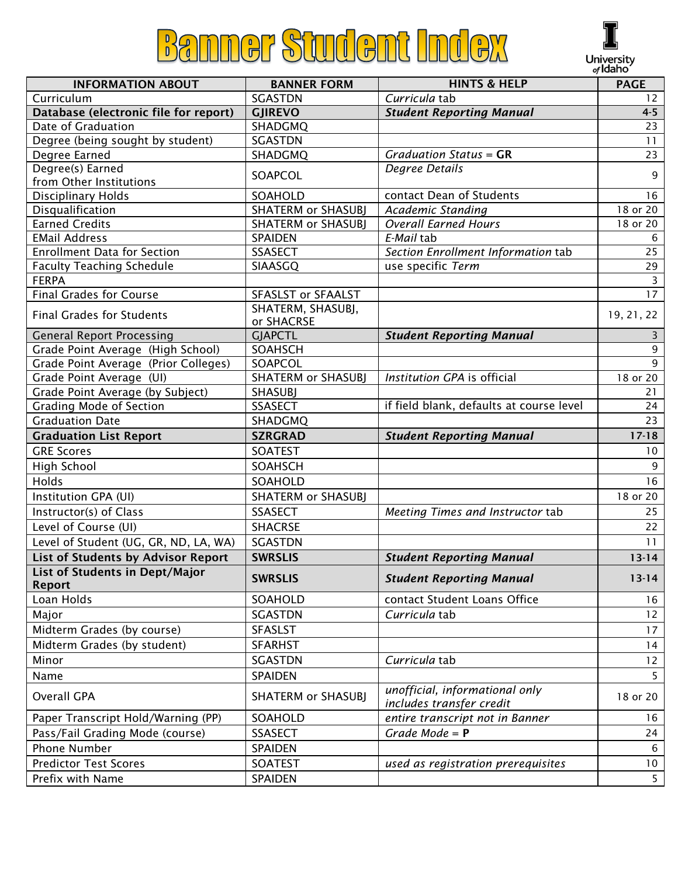## **Banner Student Index**



|                                                  |                                      |                                                            | <i>oj</i> IUdi IU |
|--------------------------------------------------|--------------------------------------|------------------------------------------------------------|-------------------|
| <b>INFORMATION ABOUT</b>                         | <b>BANNER FORM</b>                   | <b>HINTS &amp; HELP</b>                                    | <b>PAGE</b>       |
| Curriculum                                       | <b>SGASTDN</b>                       | Curricula tab                                              | 12                |
| Database (electronic file for report)            | <b>GJIREVO</b>                       | <b>Student Reporting Manual</b>                            | $4 - 5$           |
| Date of Graduation                               | SHADGMQ                              |                                                            | 23                |
| Degree (being sought by student)                 | <b>SGASTDN</b>                       |                                                            | 11                |
| Degree Earned                                    | SHADGMQ                              | Graduation Status = $GR$                                   | 23                |
| Degree(s) Earned<br>from Other Institutions      | SOAPCOL                              | Degree Details                                             | 9                 |
| <b>Disciplinary Holds</b>                        | SOAHOLD                              | contact Dean of Students                                   | 16                |
| Disqualification                                 | <b>SHATERM or SHASUBJ</b>            | Academic Standing                                          | 18 or 20          |
| <b>Earned Credits</b>                            | <b>SHATERM or SHASUBJ</b>            | <b>Overall Earned Hours</b>                                | 18 or 20          |
| <b>EMail Address</b>                             | SPAIDEN                              | E-Mail tab                                                 | 6                 |
| <b>Enrollment Data for Section</b>               | <b>SSASECT</b>                       | Section Enrollment Information tab                         | 25                |
| <b>Faculty Teaching Schedule</b>                 | SIAASGQ                              | use specific Term                                          | 29                |
| <b>FERPA</b>                                     |                                      |                                                            | 3                 |
| <b>Final Grades for Course</b>                   | <b>SFASLST or SFAALST</b>            |                                                            | 17                |
| <b>Final Grades for Students</b>                 | SHATERM, SHASUBJ,<br>or SHACRSE      |                                                            | 19, 21, 22        |
| <b>General Report Processing</b>                 | <b>GJAPCTL</b>                       | <b>Student Reporting Manual</b>                            | 3                 |
| Grade Point Average (High School)                | <b>SOAHSCH</b>                       |                                                            | 9                 |
| Grade Point Average (Prior Colleges)             | SOAPCOL                              |                                                            | 9                 |
| Grade Point Average (UI)                         | <b>SHATERM or SHASUBJ</b>            | Institution GPA is official                                | 18 or 20          |
| Grade Point Average (by Subject)                 | <b>SHASUBJ</b>                       |                                                            | 21                |
| <b>Grading Mode of Section</b>                   | <b>SSASECT</b>                       | if field blank, defaults at course level                   | 24                |
| <b>Graduation Date</b>                           | SHADGMQ                              |                                                            | 23                |
|                                                  |                                      |                                                            |                   |
|                                                  |                                      |                                                            |                   |
| <b>Graduation List Report</b>                    | <b>SZRGRAD</b>                       | <b>Student Reporting Manual</b>                            | $17 - 18$         |
| <b>GRE Scores</b>                                | <b>SOATEST</b>                       |                                                            | 10                |
| High School                                      | <b>SOAHSCH</b>                       |                                                            | 9                 |
| Holds                                            | SOAHOLD                              |                                                            | 16                |
| Institution GPA (UI)                             | <b>SHATERM or SHASUBJ</b>            |                                                            | 18 or 20          |
| Instructor(s) of Class                           | <b>SSASECT</b>                       | Meeting Times and Instructor tab                           | 25                |
| Level of Course (UI)                             | <b>SHACRSE</b>                       |                                                            | 22                |
| Level of Student (UG, GR, ND, LA, WA)            | <b>SGASTDN</b>                       |                                                            | 11                |
| <b>List of Students by Advisor Report</b>        | <b>SWRSLIS</b>                       | <b>Student Reporting Manual</b>                            | $13-14$           |
| List of Students in Dept/Major<br><b>Report</b>  | <b>SWRSLIS</b>                       | <b>Student Reporting Manual</b>                            | $13-14$           |
| Loan Holds                                       | SOAHOLD                              | contact Student Loans Office                               | 16                |
| Major                                            | <b>SGASTDN</b>                       | Curricula tab                                              | 12                |
|                                                  | <b>SFASLST</b>                       |                                                            | 17                |
| Midterm Grades (by course)                       |                                      |                                                            |                   |
| Midterm Grades (by student)                      | <b>SFARHST</b>                       |                                                            | 14                |
| Minor                                            | <b>SGASTDN</b>                       | Curricula tab                                              | 12                |
| Name<br><b>Overall GPA</b>                       | SPAIDEN<br><b>SHATERM or SHASUBJ</b> | unofficial, informational only<br>includes transfer credit | 5<br>18 or 20     |
| Paper Transcript Hold/Warning (PP)               | SOAHOLD                              | entire transcript not in Banner                            | 16                |
|                                                  |                                      |                                                            |                   |
| Pass/Fail Grading Mode (course)                  | <b>SSASECT</b>                       | Grade Mode = $P$                                           | 24                |
| Phone Number                                     | SPAIDEN                              |                                                            | 6                 |
| <b>Predictor Test Scores</b><br>Prefix with Name | SOATEST<br>SPAIDEN                   | used as registration prerequisites                         | 10<br>5           |